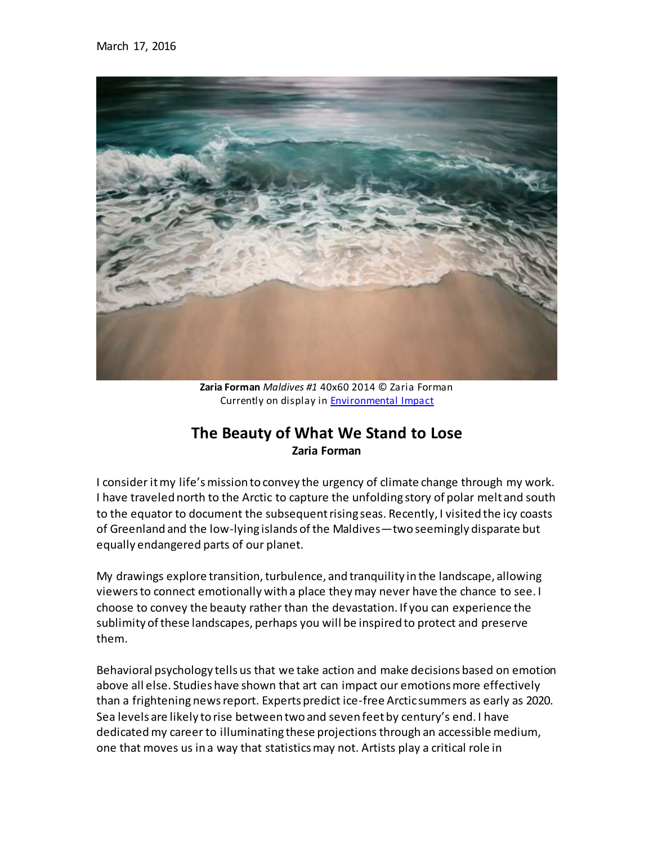

**Zaria Forman** *Maldives #1* 40x60 2014 © Zaria Forman Currently on display in **[Environmental Impac](http://davidjwagnerllc.com/Environmental_Impact.html)t** 

## **The Beauty of What We Stand to Lose Zaria Forman**

I consider it my life's mission to convey the urgency of climate change through my work. I have traveled north to the Arctic to capture the unfolding story of polar melt and south to the equator to document the subsequent rising seas. Recently, I visited the icy coasts of Greenland and the low-lying islands of the Maldives—two seemingly disparate but equally endangered parts of our planet.

My drawings explore transition, turbulence, and tranquility in the landscape, allowing viewers to connect emotionally with a place they may never have the chance to see. I choose to convey the beauty rather than the devastation. If you can experience the sublimity of these landscapes, perhaps you will be inspired to protect and preserve them.

Behavioral psychology tells us that we take action and make decisions based on emotion above all else. Studies have shown that art can impact our emotions more effectively than a frightening news report. Experts predict ice-free Arctic summers as early as 2020. Sea levels are likely to rise between two and seven feet by century's end. I have dedicated my career to illuminating these projections through an accessible medium, one that moves us in a way that statistics may not. Artists play a critical role in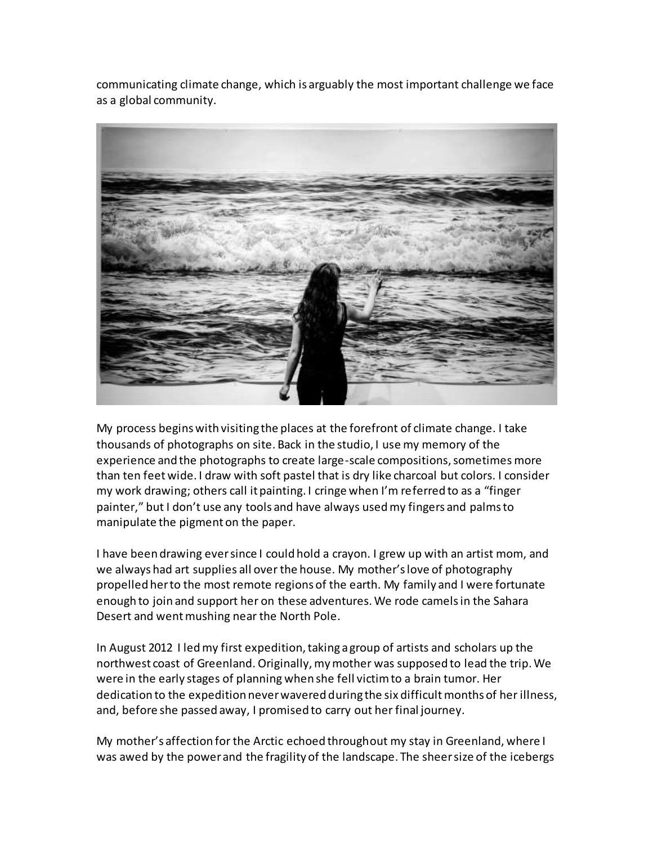communicating climate change, which is arguably the most important challenge we face as a global community.



My process begins with visiting the places at the forefront of climate change. I take thousands of photographs on site. Back in the studio, I use my memory of the experience and the photographs to create large-scale compositions, sometimes more than ten feet wide. I draw with soft pastel that is dry like charcoal but colors. I consider my work drawing; others call it painting. I cringe when I'm referred to as a "finger painter," but I don't use any tools and have always used my fingers and palms to manipulate the pigment on the paper.

I have been drawing ever since I could hold a crayon. I grew up with an artist mom, and we always had art supplies all over the house. My mother's love of photography propelled her to the most remote regions of the earth. My family and I were fortunate enough to join and support her on these adventures. We rode camels in the Sahara Desert and went mushing near the North Pole.

In August 2012 I led my first expedition, taking a group of artists and scholars up the northwest coast of Greenland. Originally, my mother was supposed to lead the trip. We were in the early stages of planning when she fell victim to a brain tumor. Her dedication to the expedition never wavered during the six difficult months of her illness, and, before she passed away, I promised to carry out her final journey.

My mother's affection for the Arctic echoed throughout my stay in Greenland, where I was awed by the power and the fragility of the landscape. The sheer size of the icebergs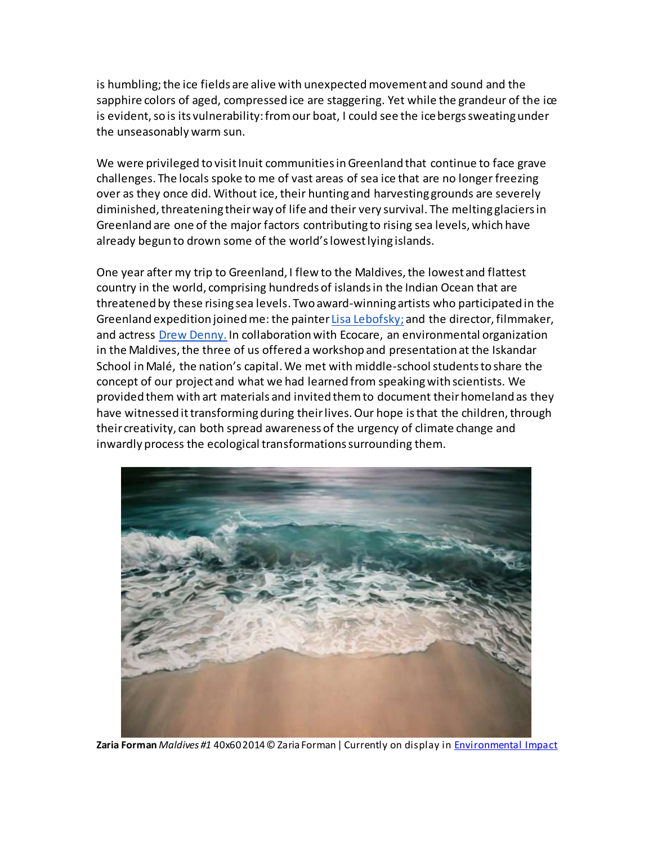is humbling; the ice fields are alive with unexpected movement and sound and the sapphire colors of aged, compressed ice are staggering. Yet while the grandeur of the ice is evident, so is its vulnerability: from our boat, I could see the ice bergs sweating under the unseasonably warm sun.

We were privileged to visit Inuit communities in Greenland that continue to face grave challenges. The locals spoke to me of vast areas of sea ice that are no longer freezing over as they once did. Without ice, their hunting and harvesting grounds are severely diminished, threatening their way of life and their very survival. The melting glaciers in Greenland are one of the major factors contributing to rising sea levels, which have already begun to drown some of the world's lowest lying islands.

One year after my trip to Greenland, I flew to the Maldives, the lowest and flattest country in the world, comprising hundreds of islands in the Indian Ocean that are threatened by these rising sea levels. Two award-winning artists who participated in the Greenland expedition joined me: the painte[r Lisa Lebofsky;](http://www.lisalebofsky.com/) and the director, filmmaker, and actress [Drew Denny.](http://www.drewdenny.com/) In collaboration with Ecocare, an environmental organization in the Maldives, the three of us offered a workshop and presentation at the Iskandar School in Malé, the nation's capital. We met with middle-school students to share the concept of our project and what we had learned from speaking with scientists. We provided them with art materials and invited them to document their homeland as they have witnessed it transforming during their lives. Our hope is that the children, through their creativity, can both spread awareness of the urgency of climate change and inwardly process the ecological transformations surrounding them.



**Zaria Forman** *Maldives #1* 40x60 2014 © Zaria Forman| Currently on display in [Environmental Impac](http://davidjwagnerllc.com/Environmental_Impact.html)t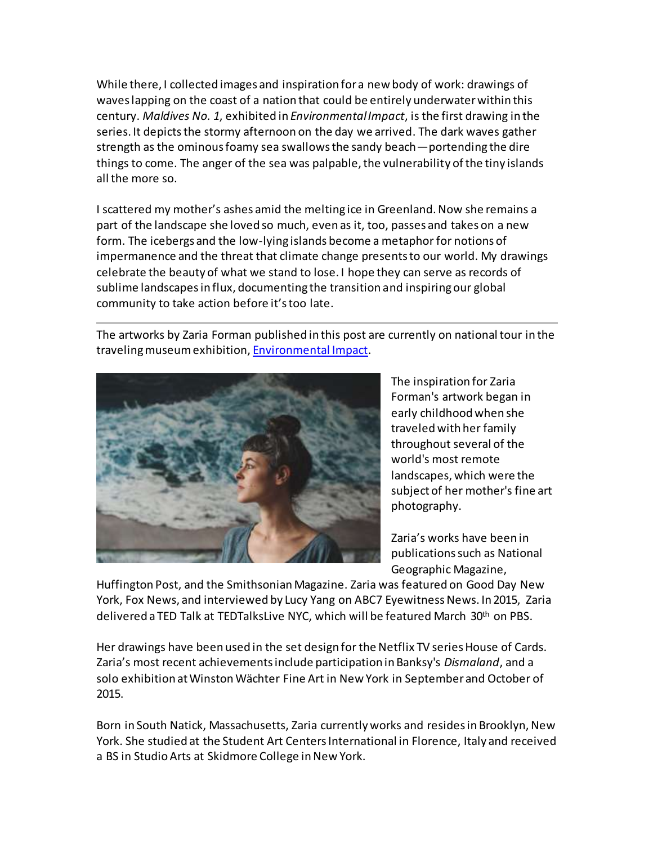While there, I collected images and inspiration for a new body of work: drawings of waves lapping on the coast of a nation that could be entirely underwater within this century. *Maldives No. 1*, exhibited in *Environmental Impact*, is the first drawing in the series. It depicts the stormy afternoon on the day we arrived. The dark waves gather strength as the ominous foamy sea swallows the sandy beach—portending the dire things to come. The anger of the sea was palpable, the vulnerability of the tiny islands all the more so.

I scattered my mother's ashes amid the melting ice in Greenland. Now she remains a part of the landscape she loved so much, even as it, too, passes and takes on a new form. The icebergs and the low-lying islands become a metaphor for notions of impermanence and the threat that climate change presents to our world. My drawings celebrate the beauty of what we stand to lose. I hope they can serve as records of sublime landscapes in flux, documenting the transition and inspiring our global community to take action before it's too late.

The artworks by Zaria Forman published in this post are currently on national tour in the traveling museum exhibition, [Environmental Impact](http://davidjwagnerllc.com/Environmental_Impact.html).



The inspiration for Zaria Forman's artwork began in early childhood when she traveled with her family throughout several of the world's most remote landscapes, which were the subject of her mother's fine art photography.

Zaria's works have been in publications such as National Geographic Magazine,

Huffington Post, and the Smithsonian Magazine. Zaria was featured on Good Day New York, Fox News, and interviewed by Lucy Yang on ABC7 Eyewitness News. In 2015, Zaria delivered a TED Talk at TEDTalksLive NYC, which will be featured March 30th on PBS.

Her drawings have been used in the set design for the Netflix TV series House of Cards. Zaria's most recent achievements include participation in Banksy's *Dismaland*, and a solo exhibition at Winston Wächter Fine Art in New York in September and October of 2015.

Born in South Natick, Massachusetts, Zaria currently works and resides in Brooklyn, New York. She studied at the Student Art Centers International in Florence, Italy and received a BS in Studio Arts at Skidmore College in New York.